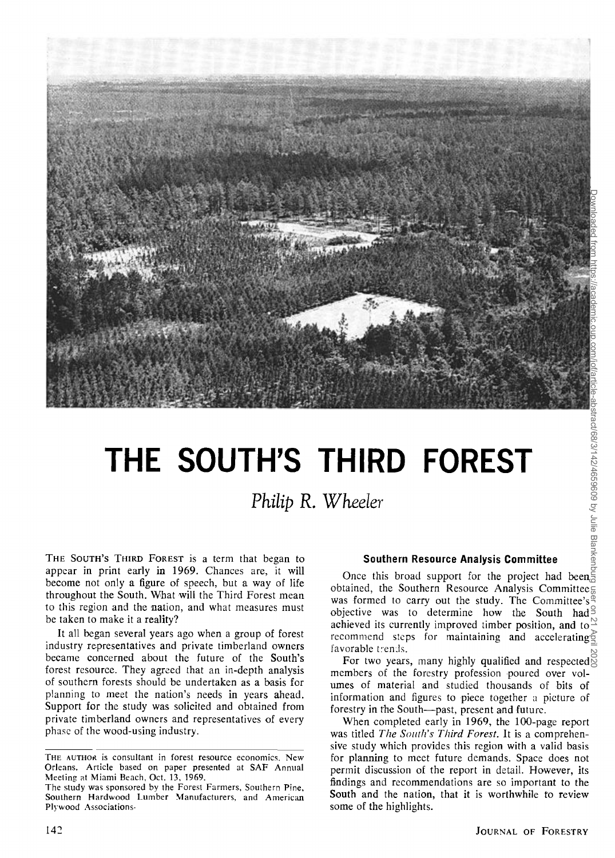

# THE SOUTH'S THIRD FOREST **FOREST**

# **Philip R. Wheeler**

**THE SOUTH'S THIRD FOREST is a term that began to appear in print early in 1969. Chances are, it will become not only a figure of speech, but a way of life**  throughout the South. What will the Third Forest mean to this region and the nation, and what measures must **be taken to make it a reality?** 

**It all began several years ago when a group of forest industry representatives and private timberland owners became concerned about the future of the South's forest resource. They agreed that an in-depth analysis of southern forests should be undertaken as a basis for planning to meet the nation's needs in years ahead. Support for the study was solicited and obtained from private timberland owners and representatives of every phase of the wood-using industry.** 

## **Southern Resource Analysis Committee**

**Once this broad support for the project had been obtained, the Southern Resource Analysis Committee**  was formed to carry out the study. The Committee's<sup><sup>®</sup></sup> objective was to determine how the South had<sup> $\exists$ </sup> achieved its currently improved timber position, and to  $\approx$ **recommend steps for maintaining and accelerating**  favorable trends.

For two years, many highly qualified and respected  $\delta$ members of the forestry profession poured over volumes of material and studied thousands of bits of **information and figures to piece together a picture of forestry in the South--past. present and future.** 

**When completed early in 1969, the 100-page report was titled The South's Third Forest. It is a comprehensive study which provides this region with a valid basis for planning to meet future demands. Space does not permit discussion of the report in detail. However, its findings and recommendations are so important to the**  South and the nation, that it is worthwhile to review **some of the highlights.** 

**THE AUTHOR is consultant in forest resource economics. New Orleans. Article based on paper presented at SAF Annual Meeling at Miami Beach, Oct. 13, 1969.** 

**The study was sponsored by the Forest Farmers. Southern Pine, Southern Hardwood Lumber Manufacturers, and American Plywood Associations-**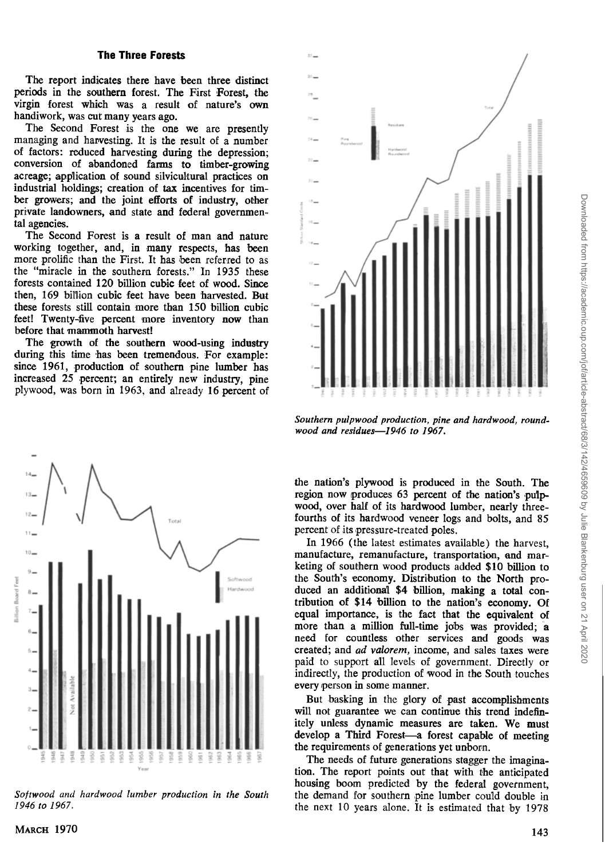**The report indicates there have been three distinct periods in the southern forest. The First Forest, the virgin forest which was a result of nature's own handiwork, was cut many years ago.** 

**The Second Forest is the one we are presently**  managing and harvesting. It is the result of a number **of factors: reduced harvesting during the depression; conversion of abandoned farms to timber-growing acreage; application of sound silvicultural practices on industrial holdings; creation of tax incentives for timber growers; and the joint efforts of industry, other private landowners, and state and federal governmental agencies.** 

**The Second Forest is a result of man and nature working together, and, in many respects, has been**  more prolific than the First. It has been referred to as the "miracle in the southern forests." In 1935 these **forests contained 120 billion cubic feet of wood. Since then, 169 billion cubic feet have been harvested. But these forests still contain more than 150 billion cubic feet! Twenty-five percent more inventory now than beforc that mammoth harvest!** 

**The growth of the southern wood-using industry during this time has been tremendous. For example: since 1961, production of southern pine lumber has increased 25 percent; an entirely new industry, pine plywood, was born in 1963. and already 16 percent of** 



Softwood and hardwood lumber production in the South **1946 to 1967.** 



**Southern pulpwood production. pine and hardwood, roundwood and residues--1946 to 1967.** 

**the nation's plywood is produced in the South. The region now produces 63 percent of the nation's pulpwood, over half of its hardwood lumber, nearly threefourths of its hardwood veneer logs and bolts, and 85**  percent of its pressure-treated poles.

**In 1966 (the latest estimates available) the harvest, manufacture, remanufacture, transportation, and marketing of southern wood products added \$10 billion to the South's economy. Distribution to the North produced an additional \$4 billion, making a total contribution of \$14 billion to the nation's economy. Of equal importance, is the fact that the equivalent of more than a million full-time jobs was provided; a need for countless other services and goods was created; and ad valorem, income, and sales taxes were paid to support all levels of government. Directly or indirectly, the production of mood in the South touches**  every person in some manner.

**But basking in the glory of past accomplishments will not guarantee we can continue this trend indefinitely unless dynamic measures are taken. We must develop a Third Forest--a forest capable of meeting the requirements of generations yet unborn.** 

The needs of future generations stagger the imagina**tion. The report points out that with the anticipated**  housing boom predicted by the federal government, the demand for southern pine lumber could double in **the next 10 years alone. It is estimated that by 1978**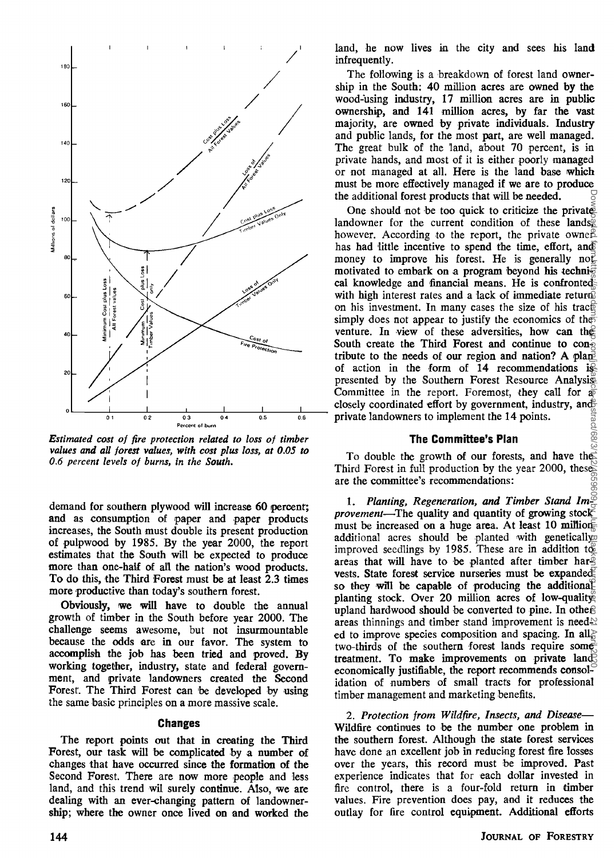

**Estimated cost of fire protection related to loss of timber** values and all forest values, with cost plus loss, at 0.05 to **0.6 percent levels of burns, in the South.** 

**demand for southern plywood will increase 60 percent; and as consumption of paper and paper products increases, the South must double its present production of pulpwood by 1985. By the year 2000, the report estimates that the South will be expected to produce more than one-half of all the nation's wood products. To do this, the Third Forest must be at least 2.3 times**  more productive than today's southern forest.

**Obviously, we will have to double the annual**  growth of timber in the South before year 2000. The **challenge seems awesome, but not insurmountable because the odds are in our favor. The system to accomplish the job has been tried and proved. By working together, industry, state and federal government, and private landowners created the Second**  Forest. The Third Forest can be developed by using **the same basic principles on a more massive scale.** 

#### **Changes**

The report points out that in creating the Third **Forest, our task will be complicated by a number of changes that have occurred since the formation of the**  Second Forest. There are now more people and less **land. and this trend wil surely continue. Also, we are dealing with an ever-changing pattern of landownership; where the owner once lived on and worked the**  **land, he now lives in the city and sees his land infrequently.** 

The following is a breakdown of forest land owner**ship in the South: 40 million acres are owned by the wood-using industry, 17 million acres are in public ownership, and 141 million acres, by far the vast majority, are owned by private individuals. Industry and public lands, for the most part, are well managed.**  The great bulk of the land, about 70 percent, is in **private hands, and most of it is either poorly managed or not managed at all. Here is the land base which must be more effectively managed if we are to produce the additional forest products that will be needed.** 

**One should not be too quick to criticize the private**  landowner for the current condition of these lands<sup>®</sup> however. According to the report, the private owner has had little incentive to spend the time, effort, and money to improve his forest. He is generally  $\mathbf{no}\right)$ **motivated to embark on a program beyond his techni**cal knowledge and financial means. He is confronted with high interest rates and a lack of immediate return<sup>3</sup> **on his investment. In many cases the size of his tracted** simply does not appear to justify the economics of the venture. In view of these adversities, how can the **South create the Third Forest and continue to con**tribute to the needs of our region and nation? A plan<sup>t</sup> **of action in the form of 14 recommendations is presented by the Southern Forest Resource Analysis**  Committee in the report. Foremost, they call for  $\frac{1}{40}$ closely coordinated effort by government, industry, and<sup>2</sup> **private landowners to implement the 14 points.** 

#### **The Committee's Plan**

**To double the growth of our forests, and have the Third Forest in ful'l production by the year 2000, these are the committee's recommendations:** 

1. Planting, Regeneration, and Timber Stand Im<sup>26</sup> *provement*—The quality and quantity of growing stock  $\geq$ must be increased on a huge area. At least 10 million additional acres should be planted with genetically improved seedlings by 1985. These are in addition to **areas that will have to be planted after timber harvests. State forest service nurseries must be expanded.** so they will be capable of producing the additional **planting stock. Over 20 million acres of low-quality** upland hardwood should be converted to pine. In other areas thinnings and timber stand improvement is need<sup>1</sup> ed to improve species composition and spacing. In all<sub> $\geq$ </sub> **two-thirds of the southern forest lands require some treatment.** To make improvements on private land **economically justifiable, the report recommends consolidation of numbers of small tracts for professional timber management and marketing benefits.** 

2. Protection from Wildfire, Insects, and Disease-**Wildfire continues to be the number one problem in the southern forest. Although the state forest services**  have done an excellent job in reducing forest fire losses **over the years, this record must be improved. Past experience indicates that for each dollar invested in fire control, there is a four-fold return in timber values. Fire prevention does pay, and it reduces the outlay for fire control equipment. Additional efforts**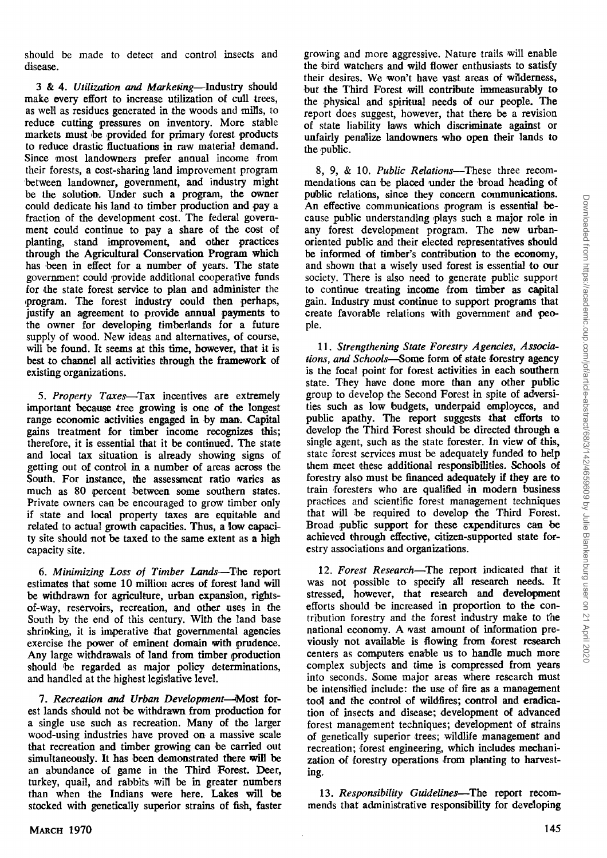**should be made to detect and control insects and disease.** 

3 & 4. Utilization and Marketing-Industry should make every effort to increase utilization of cull trees, **as well as residues generated in the woods and mills, to reduce cutting pressures on inventory. More stable markets must be provided for primary forest products to reduce drastic fluctuations in raw material demand. Since most landowners prefer annual income from**  their forests, a cost-sharing land improvement program **between landowner, government, and industry might be the solution. Under such a program, the owner could dedicate his land to timber production and pay a fraction of the development cost. The federal govern**ment could continue to pay a share of the cost of **planting, stand improvement, and other practices through the Agricultural Conservation Program which**  has been in effect for a number of years. The state **government could ,provide additional cooperative funds**  for the state forest service to plan and administer the **.program. The forest industry could then perhaps, justify an agreement to provide annual payments to the owner for developing timberlands for a future supply of wood. New ideas and alternatives, of course,**  will be found. It seems at this time, however, that it is **best to channel all activities through the framework of existing organizations.** 

5. Property Taxes—Tax incentives are extremely **important because tree growing is one of the longest range economic activities engaged in by man. Capital gains treatment for timber income recognizes this; therefore, it is essential that it be continued. The state**  and local tax situation is already showing signs of **getting out of control in a number of areas across the**  South. For instance, the assessment ratio varies as **much as 80 percent between some southern states. Private owners can be encouraged to grow timber only**  if state and local property taxes are equitable and **related to actual growth capacities. Thus, a low capacity site should not be taxed to the same extent as a high capacity site.** 

6. Minimizing Loss of Timber Lands-The report **estimates that some 10 million acres of forest land will be withdrawn for agriculture, urban expansion, rightsof-way, reservoirs, recreation, and other uses in the South by the end of this century. With the land base shrinking. it is imperative that governmental agencies exercise the power of eminent domain with prudence. Any large withdrawals of land from timber production**  should be regarded as major policy determinations, **and handled at the highest legislative level.** 

7. Recreation and Urban Development-Most for**est lands should not be withdrawn from production for**  a single use such as recreation. Many of the larger **wood-using industries have proved on a massive scale**  that recreation and timber growing can be carried out simultaneously. It has been demonstrated there will be **an abundance of game in the Third Forest. Deer, turkey, quail, and rabbits will be in greater numbers than when the Indians were here. Lakes will be stocked with genetically superior strains of fish, faster**  growing and more aggressive. Nature trails will enable **the bird watchers and wild flower enthusiasts to satisfy their desires. We won't have vast areas of wilderness, but the Third Forest will contribute immeasurably to the physical and spiritual needs of our people. The report does suggest, however, that there be a revision of state liability laws which discriminate against or unfairly penalize landowners who open their lands to the public.** 

8, 9, & 10. Public Relations—These three recom**mendations can be placed under the broad heading of public relations, since they concern communications. An effective communications program is essential be**cause public understanding plays such a major role in **any forest development program. The new urbanoriented public and their elected representatives should be informed of timber's contribution to the economy, and shown that a wisely used forest is essential to our society. There is also need to generate public support**  to continue treating income from timber as capital **gain. Industry must continue to support programs that create favorable relations with government and people.** 

**11. Strengthening State Forestry Agencies, Associa**tions, and Schools-Some form of state forestry agency **is the focal point for forest activities in each southern**  state. They have done more than any other public group to develop the Second Forest in spite of adversi**ties such as low budgets, underpaid employees, and public apathy. The report suggests that efforts to develop the Third Forest should be directed through a single agent, such as the state forester. In view of this, state forest services must be adequately funded to help**  them meet these additional responsibilities. Schools of forestry also must be financed adequately if they are to **train foresters who are qualified in modern business**  practices and scientific forest management techniques **that will be required to develop the Third Forest. Broad public support for these expenditures can be achieved through effective, citizen-supported state forestry associations and organizations.** 

12. Forest Research-The report indicated that it **was not possible to specify all research needs. It stressed, however, that research and development efforts should be increased in proportion to the con**tribution forestry and the forest industry make to the national economy. A vast amount of information pre**viously not available is flowing from forest research centers as computers enable us to handle much more complex subjects and time is compressed from years into seconds. Some major areas where research must be intensified include: the use of fire as a management tool and the control of wildfires; control and eradication of insects and disease; development of advanced forest management techniques; development of strains of genetically superior trees; wildlife management and recreation; forest engineering, which includes mechanization of forestry operations from planting to harvesting.** 

13. Responsibility Guidelines—The report recom**mends that administrative responsibility for developing**